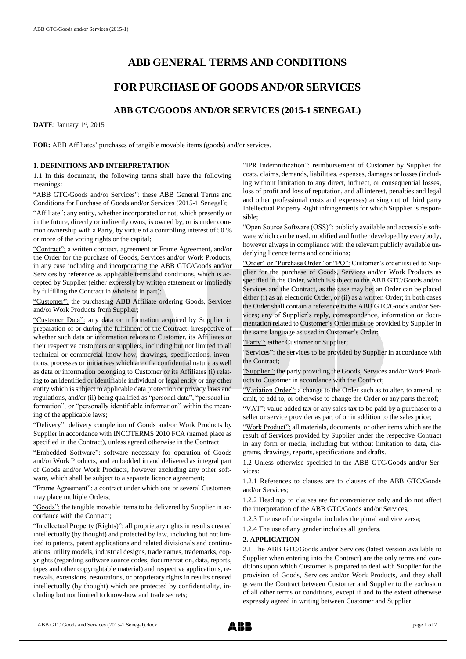# **ABB GENERAL TERMS AND CONDITIONS**

## **FOR PURCHASE OF GOODS AND/OR SERVICES**

## **ABB GTC/GOODS AND/OR SERVICES (2015-1 SENEGAL)**

DATE: January 1st, 2015

**FOR:** ABB Affiliates' purchases of tangible movable items (goods) and/or services.

## **1. DEFINITIONS AND INTERPRETATION**

1.1 In this document, the following terms shall have the following meanings:

"ABB GTC/Goods and/or Services": these ABB General Terms and Conditions for Purchase of Goods and/or Services (2015-1 Senegal);

"Affiliate": any entity, whether incorporated or not, which presently or in the future, directly or indirectly owns, is owned by, or is under common ownership with a Party, by virtue of a controlling interest of 50 % or more of the voting rights or the capital;

"Contract": a written contract, agreement or Frame Agreement, and/or the Order for the purchase of Goods, Services and/or Work Products, in any case including and incorporating the ABB GTC/Goods and/or Services by reference as applicable terms and conditions, which is accepted by Supplier (either expressly by written statement or impliedly by fulfilling the Contract in whole or in part);

"Customer": the purchasing ABB Affiliate ordering Goods, Services and/or Work Products from Supplier;

"Customer Data": any data or information acquired by Supplier in preparation of or during the fulfilment of the Contract, irrespective of whether such data or information relates to Customer, its Affiliates or their respective customers or suppliers, including but not limited to all technical or commercial know-how, drawings, specifications, inventions, processes or initiatives which are of a confidential nature as well as data or information belonging to Customer or its Affiliates (i) relating to an identified or identifiable individual or legal entity or any other entity which is subject to applicable data protection or privacy laws and regulations, and/or (ii) being qualified as "personal data", "personal information", or "personally identifiable information" within the meaning of the applicable laws;

"Delivery": delivery completion of Goods and/or Work Products by Supplier in accordance with INCOTERMS 2010 FCA (named place as specified in the Contract), unless agreed otherwise in the Contract;

edded Software": software necessary for operation of Goods and/or Work Products, and embedded in and delivered as integral part of Goods and/or Work Products, however excluding any other software, which shall be subject to a separate licence agreement;

"Frame Agreement": a contract under which one or several Customers may place multiple Orders;

"Goods": the tangible movable items to be delivered by Supplier in accordance with the Contract;

"Intellectual Property (Rights)": all proprietary rights in results created intellectually (by thought) and protected by law, including but not limited to patents, patent applications and related divisionals and continuations, utility models, industrial designs, trade names, trademarks, copyrights (regarding software source codes, documentation, data, reports, tapes and other copyrightable material) and respective applications, renewals, extensions, restorations, or proprietary rights in results created intellectually (by thought) which are protected by confidentiality, including but not limited to know-how and trade secrets;

"IPR Indemnification": reimbursement of Customer by Supplier for costs, claims, demands, liabilities, expenses, damages or losses (including without limitation to any direct, indirect, or consequential losses, loss of profit and loss of reputation, and all interest, penalties and legal and other professional costs and expenses) arising out of third party Intellectual Property Right infringements for which Supplier is responsible;

"Open Source Software (OSS)": publicly available and accessible software which can be used, modified and further developed by everybody, however always in compliance with the relevant publicly available underlying licence terms and conditions;

"Order" or "Purchase Order" or "PO": Customer's order issued to Supplier for the purchase of Goods, Services and/or Work Products as specified in the Order, which is subject to the ABB GTC/Goods and/or Services and the Contract, as the case may be; an Order can be placed either (i) as an electronic Order, or (ii) as a written Order; in both cases the Order shall contain a reference to the ABB GTC/Goods and/or Services; any of Supplier's reply, correspondence, information or documentation related to Customer's Order must be provided by Supplier in the same language as used in Customer's Order;

"Party": either Customer or Supplier;

"Services": the services to be provided by Supplier in accordance with the Contract;

"Supplier": the party providing the Goods, Services and/or Work Products to Customer in accordance with the Contract;

"Variation Order": a change to the Order such as to alter, to amend, to omit, to add to, or otherwise to change the Order or any parts thereof;

"VAT": value added tax or any sales tax to be paid by a purchaser to a seller or service provider as part of or in addition to the sales price;

"Work Product": all materials, documents, or other items which are the result of Services provided by Supplier under the respective Contract in any form or media, including but without limitation to data, diagrams, drawings, reports, specifications and drafts.

1.2 Unless otherwise specified in the ABB GTC/Goods and/or Services:

1.2.1 References to clauses are to clauses of the ABB GTC/Goods and/or Services;

1.2.2 Headings to clauses are for convenience only and do not affect the interpretation of the ABB GTC/Goods and/or Services;

1.2.3 The use of the singular includes the plural and vice versa;

1.2.4 The use of any gender includes all genders.

## **2. APPLICATION**

2.1 The ABB GTC/Goods and/or Services (latest version available to Supplier when entering into the Contract) are the only terms and conditions upon which Customer is prepared to deal with Supplier for the provision of Goods, Services and/or Work Products, and they shall govern the Contract between Customer and Supplier to the exclusion of all other terms or conditions, except if and to the extent otherwise expressly agreed in writing between Customer and Supplier.

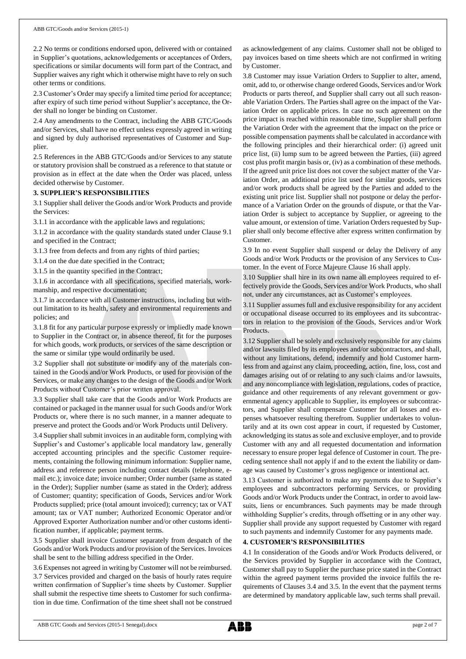2.2 No terms or conditions endorsed upon, delivered with or contained in Supplier's quotations, acknowledgements or acceptances of Orders, specifications or similar documents will form part of the Contract, and Supplier waives any right which it otherwise might have to rely on such other terms or conditions.

2.3 Customer's Order may specify a limited time period for acceptance; after expiry of such time period without Supplier's acceptance, the Order shall no longer be binding on Customer.

2.4 Any amendments to the Contract, including the ABB GTC/Goods and/or Services, shall have no effect unless expressly agreed in writing and signed by duly authorised representatives of Customer and Supplier.

2.5 References in the ABB GTC/Goods and/or Services to any statute or statutory provision shall be construed as a reference to that statute or provision as in effect at the date when the Order was placed, unless decided otherwise by Customer.

## **3. SUPPLIER'S RESPONSIBILITIES**

3.1 Supplier shall deliver the Goods and/or Work Products and provide the Services:

3.1.1 in accordance with the applicable laws and regulations;

3.1.2 in accordance with the quality standards stated under Clause 9.1 and specified in the Contract;

3.1.3 free from defects and from any rights of third parties;

3.1.4 on the due date specified in the Contract;

3.1.5 in the quantity specified in the Contract;

3.1.6 in accordance with all specifications, specified materials, workmanship, and respective documentation;

3.1.7 in accordance with all Customer instructions, including but without limitation to its health, safety and environmental requirements and policies; and

3.1.8 fit for any particular purpose expressly or impliedly made known to Supplier in the Contract or, in absence thereof, fit for the purposes for which goods, work products, or services of the same description or the same or similar type would ordinarily be used.

3.2 Supplier shall not substitute or modify any of the materials contained in the Goods and/or Work Products, or used for provision of the Services, or make any changes to the design of the Goods and/or Work Products without Customer's prior written approval.

3.3 Supplier shall take care that the Goods and/or Work Products are contained or packaged in the manner usual for such Goods and/or Work Products or, where there is no such manner, in a manner adequate to preserve and protect the Goods and/or Work Products until Delivery.

3.4 Supplier shall submit invoices in an auditable form, complying with Supplier's and Customer's applicable local mandatory law, generally accepted accounting principles and the specific Customer requirements, containing the following minimum information: Supplier name, address and reference person including contact details (telephone, email etc.); invoice date; invoice number; Order number (same as stated in the Order); Supplier number (same as stated in the Order); address of Customer; quantity; specification of Goods, Services and/or Work Products supplied; price (total amount invoiced); currency; tax or VAT amount; tax or VAT number; Authorized Economic Operator and/or Approved Exporter Authorization number and/or other customs identification number, if applicable; payment terms.

3.5 Supplier shall invoice Customer separately from despatch of the Goods and/or Work Products and/or provision of the Services. Invoices shall be sent to the billing address specified in the Order.

3.6 Expenses not agreed in writing by Customer will not be reimbursed. 3.7 Services provided and charged on the basis of hourly rates require written confirmation of Supplier's time sheets by Customer. Supplier shall submit the respective time sheets to Customer for such confirmation in due time. Confirmation of the time sheet shall not be construed as acknowledgement of any claims. Customer shall not be obliged to pay invoices based on time sheets which are not confirmed in writing by Customer.

3.8 Customer may issue Variation Orders to Supplier to alter, amend, omit, add to, or otherwise change ordered Goods, Services and/or Work Products or parts thereof, and Supplier shall carry out all such reasonable Variation Orders. The Parties shall agree on the impact of the Variation Order on applicable prices. In case no such agreement on the price impact is reached within reasonable time, Supplier shall perform the Variation Order with the agreement that the impact on the price or possible compensation payments shall be calculated in accordance with the following principles and their hierarchical order: (i) agreed unit price list, (ii) lump sum to be agreed between the Parties, (iii) agreed cost plus profit margin basis or, (iv) as a combination of these methods. If the agreed unit price list does not cover the subject matter of the Variation Order, an additional price list used for similar goods, services and/or work products shall be agreed by the Parties and added to the existing unit price list. Supplier shall not postpone or delay the performance of a Variation Order on the grounds of dispute, or that the Variation Order is subject to acceptance by Supplier, or agreeing to the value amount, or extension of time. Variation Orders requested by Supplier shall only become effective after express written confirmation by Customer.

3.9 In no event Supplier shall suspend or delay the Delivery of any Goods and/or Work Products or the provision of any Services to Customer. In the event of Force Majeure Clause 16 shall apply.

3.10 Supplier shall hire in its own name all employees required to effectively provide the Goods, Services and/or Work Products, who shall not, under any circumstances, act as Customer's employees.

3.11 Supplier assumes full and exclusive responsibility for any accident or occupational disease occurred to its employees and its subcontractors in relation to the provision of the Goods, Services and/or Work Products.

3.12 Supplier shall be solely and exclusively responsible for any claims and/or lawsuits filed by its employees and/or subcontractors, and shall, without any limitations, defend, indemnify and hold Customer harmless from and against any claim, proceeding, action, fine, loss, cost and damages arising out of or relating to any such claims and/or lawsuits, and any noncompliance with legislation, regulations, codes of practice, guidance and other requirements of any relevant government or governmental agency applicable to Supplier, its employees or subcontractors, and Supplier shall compensate Customer for all losses and expenses whatsoever resulting therefrom. Supplier undertakes to voluntarily and at its own cost appear in court, if requested by Customer, acknowledging its status as sole and exclusive employer, and to provide Customer with any and all requested documentation and information necessary to ensure proper legal defence of Customer in court. The preceding sentence shall not apply if and to the extent the liability or damage was caused by Customer's gross negligence or intentional act.

3.13 Customer is authorized to make any payments due to Supplier's employees and subcontractors performing Services, or providing Goods and/or Work Products under the Contract, in order to avoid lawsuits, liens or encumbrances. Such payments may be made through withholding Supplier's credits, through offsetting or in any other way. Supplier shall provide any support requested by Customer with regard to such payments and indemnify Customer for any payments made.

## **4. CUSTOMER'S RESPONSIBILITIES**

4.1 In consideration of the Goods and/or Work Products delivered, or the Services provided by Supplier in accordance with the Contract, Customer shall pay to Supplier the purchase price stated in the Contract within the agreed payment terms provided the invoice fulfils the requirements of Clauses 3.4 and 3.5. In the event that the payment terms are determined by mandatory applicable law, such terms shall prevail.

ABB GTC Goods and Services (2015-1 Senegal).docx page 2 of 7

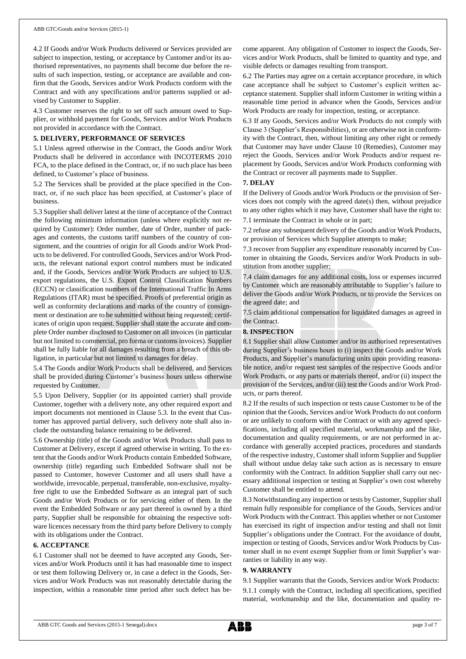4.2 If Goods and/or Work Products delivered or Services provided are subject to inspection, testing, or acceptance by Customer and/or its authorised representatives, no payments shall become due before the results of such inspection, testing, or acceptance are available and confirm that the Goods, Services and/or Work Products conform with the Contract and with any specifications and/or patterns supplied or advised by Customer to Supplier.

4.3 Customer reserves the right to set off such amount owed to Supplier, or withhold payment for Goods, Services and/or Work Products not provided in accordance with the Contract.

## **5. DELIVERY, PERFORMANCE OF SERVICES**

5.1 Unless agreed otherwise in the Contract, the Goods and/or Work Products shall be delivered in accordance with INCOTERMS 2010 FCA, to the place defined in the Contract, or, if no such place has been defined, to Customer's place of business.

5.2 The Services shall be provided at the place specified in the Contract, or, if no such place has been specified, at Customer's place of business.

5.3 Supplier shall deliver latest at the time of acceptance of the Contract the following minimum information (unless where explicitly not required by Customer): Order number, date of Order, number of packages and contents, the customs tariff numbers of the country of consignment, and the countries of origin for all Goods and/or Work Products to be delivered. For controlled Goods, Services and/or Work Products, the relevant national export control numbers must be indicated and, if the Goods, Services and/or Work Products are subject to U.S. export regulations, the U.S. Export Control Classification Numbers (ECCN) or classification numbers of the International Traffic In Arms Regulations (ITAR) must be specified. Proofs of preferential origin as well as conformity declarations and marks of the country of consignment or destination are to be submitted without being requested; certificates of origin upon request. Supplier shall state the accurate and complete Order number disclosed to Customer on all invoices (in particular but not limited to commercial, pro forma or customs invoices). Supplier shall be fully liable for all damages resulting from a breach of this obligation, in particular but not limited to damages for delay.

5.4 The Goods and/or Work Products shall be delivered, and Services shall be provided during Customer's business hours unless otherwise requested by Customer.

5.5 Upon Delivery, Supplier (or its appointed carrier) shall provide Customer, together with a delivery note, any other required export and import documents not mentioned in Clause 5.3. In the event that Customer has approved partial delivery, such delivery note shall also include the outstanding balance remaining to be delivered.

5.6 Ownership (title) of the Goods and/or Work Products shall pass to Customer at Delivery, except if agreed otherwise in writing. To the extent that the Goods and/or Work Products contain Embedded Software, ownership (title) regarding such Embedded Software shall not be passed to Customer, however Customer and all users shall have a worldwide, irrevocable, perpetual, transferable, non-exclusive, royaltyfree right to use the Embedded Software as an integral part of such Goods and/or Work Products or for servicing either of them. In the event the Embedded Software or any part thereof is owned by a third party, Supplier shall be responsible for obtaining the respective software licences necessary from the third party before Delivery to comply with its obligations under the Contract.

## **6. ACCEPTANCE**

6.1 Customer shall not be deemed to have accepted any Goods, Services and/or Work Products until it has had reasonable time to inspect or test them following Delivery or, in case a defect in the Goods, Services and/or Work Products was not reasonably detectable during the inspection, within a reasonable time period after such defect has become apparent. Any obligation of Customer to inspect the Goods, Services and/or Work Products, shall be limited to quantity and type, and visible defects or damages resulting from transport.

6.2 The Parties may agree on a certain acceptance procedure, in which case acceptance shall be subject to Customer's explicit written acceptance statement. Supplier shall inform Customer in writing within a reasonable time period in advance when the Goods, Services and/or Work Products are ready for inspection, testing, or acceptance.

6.3 If any Goods, Services and/or Work Products do not comply with Clause 3 (Supplier's Responsibilities), or are otherwise not in conformity with the Contract, then, without limiting any other right or remedy that Customer may have under Clause 10 (Remedies), Customer may reject the Goods, Services and/or Work Products and/or request replacement by Goods, Services and/or Work Products conforming with the Contract or recover all payments made to Supplier.

## **7. DELAY**

If the Delivery of Goods and/or Work Products or the provision of Services does not comply with the agreed date(s) then, without prejudice to any other rights which it may have, Customer shall have the right to: 7.1 terminate the Contract in whole or in part;

7.2 refuse any subsequent delivery of the Goods and/or Work Products, or provision of Services which Supplier attempts to make;

7.3 recover from Supplier any expenditure reasonably incurred by Customer in obtaining the Goods, Services and/or Work Products in substitution from another supplier;

7.4 claim damages for any additional costs, loss or expenses incurred by Customer which are reasonably attributable to Supplier's failure to deliver the Goods and/or Work Products, or to provide the Services on the agreed date; and

7.5 claim additional compensation for liquidated damages as agreed in the Contract.

## **8. INSPECTION**

8.1 Supplier shall allow Customer and/or its authorised representatives during Supplier's business hours to (i) inspect the Goods and/or Work Products, and Supplier's manufacturing units upon providing reasonable notice, and/or request test samples of the respective Goods and/or Work Products, or any parts or materials thereof, and/or (ii) inspect the provision of the Services, and/or (iii) test the Goods and/or Work Products, or parts thereof.

8.2 If the results of such inspection or tests cause Customer to be of the opinion that the Goods, Services and/or Work Products do not conform or are unlikely to conform with the Contract or with any agreed specifications, including all specified material, workmanship and the like, documentation and quality requirements, or are not performed in accordance with generally accepted practices, procedures and standards of the respective industry, Customer shall inform Supplier and Supplier shall without undue delay take such action as is necessary to ensure conformity with the Contract. In addition Supplier shall carry out necessary additional inspection or testing at Supplier's own cost whereby Customer shall be entitled to attend.

8.3 Notwithstanding any inspection or tests by Customer, Supplier shall remain fully responsible for compliance of the Goods, Services and/or Work Products with the Contract. This applies whether or not Customer has exercised its right of inspection and/or testing and shall not limit Supplier's obligations under the Contract. For the avoidance of doubt, inspection or testing of Goods, Services and/or Work Products by Customer shall in no event exempt Supplier from or limit Supplier's warranties or liability in any way.

## **9. WARRANTY**

9.1 Supplier warrants that the Goods, Services and/or Work Products: 9.1.1 comply with the Contract, including all specifications, specified material, workmanship and the like, documentation and quality re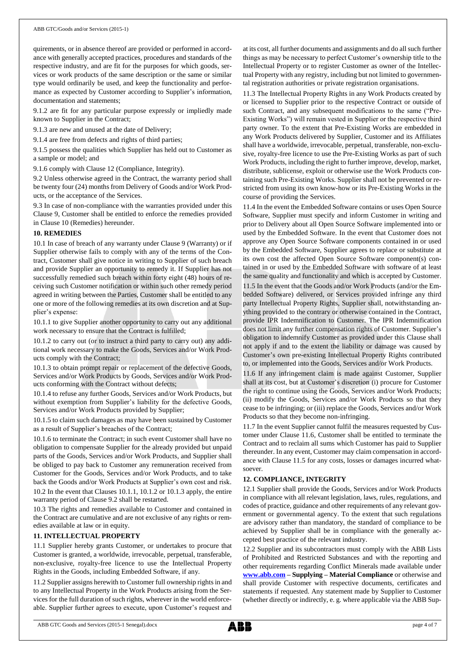quirements, or in absence thereof are provided or performed in accordance with generally accepted practices, procedures and standards of the respective industry, and are fit for the purposes for which goods, services or work products of the same description or the same or similar type would ordinarily be used, and keep the functionality and performance as expected by Customer according to Supplier's information, documentation and statements;

9.1.2 are fit for any particular purpose expressly or impliedly made known to Supplier in the Contract;

9.1.3 are new and unused at the date of Delivery;

9.1.4 are free from defects and rights of third parties;

9.1.5 possess the qualities which Supplier has held out to Customer as a sample or model; and

9.1.6 comply with Clause 12 (Compliance, Integrity).

9.2 Unless otherwise agreed in the Contract, the warranty period shall be twenty four (24) months from Delivery of Goods and/or Work Products, or the acceptance of the Services.

9.3 In case of non-compliance with the warranties provided under this Clause 9, Customer shall be entitled to enforce the remedies provided in Clause 10 (Remedies) hereunder.

## **10. REMEDIES**

10.1 In case of breach of any warranty under Clause 9 (Warranty) or if Supplier otherwise fails to comply with any of the terms of the Contract, Customer shall give notice in writing to Supplier of such breach and provide Supplier an opportunity to remedy it. If Supplier has not successfully remedied such breach within forty eight (48) hours of receiving such Customer notification or within such other remedy period agreed in writing between the Parties, Customer shall be entitled to any one or more of the following remedies at its own discretion and at Supplier's expense:

10.1.1 to give Supplier another opportunity to carry out any additional work necessary to ensure that the Contract is fulfilled;

10.1.2 to carry out (or to instruct a third party to carry out) any additional work necessary to make the Goods, Services and/or Work Products comply with the Contract;

10.1.3 to obtain prompt repair or replacement of the defective Goods, Services and/or Work Products by Goods, Services and/or Work Products conforming with the Contract without defects;

10.1.4 to refuse any further Goods, Services and/or Work Products, but without exemption from Supplier's liability for the defective Goods, Services and/or Work Products provided by Supplier;

10.1.5 to claim such damages as may have been sustained by Customer as a result of Supplier's breaches of the Contract;

10.1.6 to terminate the Contract; in such event Customer shall have no obligation to compensate Supplier for the already provided but unpaid parts of the Goods, Services and/or Work Products, and Supplier shall be obliged to pay back to Customer any remuneration received from Customer for the Goods, Services and/or Work Products, and to take back the Goods and/or Work Products at Supplier's own cost and risk. 10.2 In the event that Clauses 10.1.1, 10.1.2 or 10.1.3 apply, the entire warranty period of Clause 9.2 shall be restarted.

10.3 The rights and remedies available to Customer and contained in the Contract are cumulative and are not exclusive of any rights or remedies available at law or in equity.

## **11. INTELLECTUAL PROPERTY**

11.1 Supplier hereby grants Customer, or undertakes to procure that Customer is granted, a worldwide, irrevocable, perpetual, transferable, non-exclusive, royalty-free licence to use the Intellectual Property Rights in the Goods, including Embedded Software, if any.

11.2 Supplier assigns herewith to Customer full ownership rights in and to any Intellectual Property in the Work Products arising from the Services for the full duration of such rights, wherever in the world enforceable. Supplier further agrees to execute, upon Customer's request and

at its cost, all further documents and assignments and do all such further things as may be necessary to perfect Customer's ownership title to the Intellectual Property or to register Customer as owner of the Intellectual Property with any registry, including but not limited to governmental registration authorities or private registration organisations.

11.3 The Intellectual Property Rights in any Work Products created by or licensed to Supplier prior to the respective Contract or outside of such Contract, and any subsequent modifications to the same ("Pre-Existing Works") will remain vested in Supplier or the respective third party owner. To the extent that Pre-Existing Works are embedded in any Work Products delivered by Supplier, Customer and its Affiliates shall have a worldwide, irrevocable, perpetual, transferable, non-exclusive, royalty-free licence to use the Pre-Existing Works as part of such Work Products, including the right to further improve, develop, market, distribute, sublicense, exploit or otherwise use the Work Products containing such Pre-Existing Works. Supplier shall not be prevented or restricted from using its own know-how or its Pre-Existing Works in the course of providing the Services.

11.4 In the event the Embedded Software contains or uses Open Source Software, Supplier must specify and inform Customer in writing and prior to Delivery about all Open Source Software implemented into or used by the Embedded Software. In the event that Customer does not approve any Open Source Software components contained in or used by the Embedded Software, Supplier agrees to replace or substitute at its own cost the affected Open Source Software component(s) contained in or used by the Embedded Software with software of at least the same quality and functionality and which is accepted by Customer.

11.5 In the event that the Goods and/or Work Products (and/or the Embedded Software) delivered, or Services provided infringe any third party Intellectual Property Rights, Supplier shall, notwithstanding anything provided to the contrary or otherwise contained in the Contract, provide IPR Indemnification to Customer. The IPR Indemnification does not limit any further compensation rights of Customer. Supplier's obligation to indemnify Customer as provided under this Clause shall not apply if and to the extent the liability or damage was caused by Customer's own pre-existing Intellectual Property Rights contributed to, or implemented into the Goods, Services and/or Work Products.

11.6 If any infringement claim is made against Customer, Supplier shall at its cost, but at Customer's discretion (i) procure for Customer the right to continue using the Goods, Services and/or Work Products; (ii) modify the Goods, Services and/or Work Products so that they cease to be infringing; or (iii) replace the Goods, Services and/or Work Products so that they become non-infringing.

11.7 In the event Supplier cannot fulfil the measures requested by Customer under Clause 11.6, Customer shall be entitled to terminate the Contract and to reclaim all sums which Customer has paid to Supplier thereunder. In any event, Customer may claim compensation in accordance with Clause 11.5 for any costs, losses or damages incurred whatsoever.

## **12. COMPLIANCE, INTEGRITY**

12.1 Supplier shall provide the Goods, Services and/or Work Products in compliance with all relevant legislation, laws, rules, regulations, and codes of practice, guidance and other requirements of any relevant government or governmental agency. To the extent that such regulations are advisory rather than mandatory, the standard of compliance to be achieved by Supplier shall be in compliance with the generally accepted best practice of the relevant industry.

12.2 Supplier and its subcontractors must comply with the ABB Lists of Prohibited and Restricted Substances and with the reporting and other requirements regarding Conflict Minerals made available under **[www.abb.com](http://www.abb.com/) – Supplying – Material Compliance** or otherwise and shall provide Customer with respective documents, certificates and statements if requested. Any statement made by Supplier to Customer (whether directly or indirectly, e. g. where applicable via the ABB Sup-

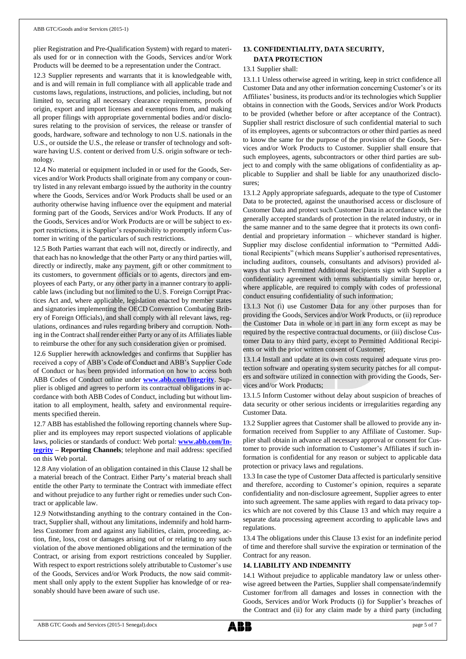plier Registration and Pre-Qualification System) with regard to materials used for or in connection with the Goods, Services and/or Work Products will be deemed to be a representation under the Contract.

12.3 Supplier represents and warrants that it is knowledgeable with, and is and will remain in full compliance with all applicable trade and customs laws, regulations, instructions, and policies, including, but not limited to, securing all necessary clearance requirements, proofs of origin, export and import licenses and exemptions from, and making all proper filings with appropriate governmental bodies and/or disclosures relating to the provision of services, the release or transfer of goods, hardware, software and technology to non U.S. nationals in the U.S., or outside the U.S., the release or transfer of technology and software having U.S. content or derived from U.S. origin software or technology.

12.4 No material or equipment included in or used for the Goods, Services and/or Work Products shall originate from any company or country listed in any relevant embargo issued by the authority in the country where the Goods, Services and/or Work Products shall be used or an authority otherwise having influence over the equipment and material forming part of the Goods, Services and/or Work Products. If any of the Goods, Services and/or Work Products are or will be subject to export restrictions, it is Supplier's responsibility to promptly inform Customer in writing of the particulars of such restrictions.

12.5 Both Parties warrant that each will not, directly or indirectly, and that each has no knowledge that the other Party or any third parties will, directly or indirectly, make any payment, gift or other commitment to its customers, to government officials or to agents, directors and employees of each Party, or any other party in a manner contrary to applicable laws (including but not limited to the U. S. Foreign Corrupt Practices Act and, where applicable, legislation enacted by member states and signatories implementing the OECD Convention Combating Bribery of Foreign Officials), and shall comply with all relevant laws, regulations, ordinances and rules regarding bribery and corruption. Nothing in the Contract shall render either Party or any of its Affiliates liable to reimburse the other for any such consideration given or promised.

12.6 Supplier herewith acknowledges and confirms that Supplier has received a copy of ABB's Code of Conduct and ABB's Supplier Code of Conduct or has been provided information on how to access both ABB Codes of Conduct online under **[www.abb.com/Integrity](http://www.abb.com/Integrity)**. Supplier is obliged and agrees to perform its contractual obligations in accordance with both ABB Codes of Conduct, including but without limitation to all employment, health, safety and environmental requirements specified therein.

12.7 ABB has established the following reporting channels where Supplier and its employees may report suspected violations of applicable laws, policies or standards of conduct: Web portal: **[www.abb.com/In](http://www.abb.com/Integrity)[tegrity](http://www.abb.com/Integrity) – Reporting Channels**; telephone and mail address: specified on this Web portal.

12.8 Any violation of an obligation contained in this Clause 12 shall be a material breach of the Contract. Either Party's material breach shall entitle the other Party to terminate the Contract with immediate effect and without prejudice to any further right or remedies under such Contract or applicable law.

12.9 Notwithstanding anything to the contrary contained in the Contract, Supplier shall, without any limitations, indemnify and hold harmless Customer from and against any liabilities, claim, proceeding, action, fine, loss, cost or damages arising out of or relating to any such violation of the above mentioned obligations and the termination of the Contract, or arising from export restrictions concealed by Supplier. With respect to export restrictions solely attributable to Customer's use of the Goods, Services and/or Work Products, the now said commitment shall only apply to the extent Supplier has knowledge of or reasonably should have been aware of such use.

## **13. CONFIDENTIALITY, DATA SECURITY, DATA PROTECTION**

#### 13.1 Supplier shall:

13.1.1 Unless otherwise agreed in writing, keep in strict confidence all Customer Data and any other information concerning Customer's or its Affiliates' business, its products and/or its technologies which Supplier obtains in connection with the Goods, Services and/or Work Products to be provided (whether before or after acceptance of the Contract). Supplier shall restrict disclosure of such confidential material to such of its employees, agents or subcontractors or other third parties as need to know the same for the purpose of the provision of the Goods, Services and/or Work Products to Customer. Supplier shall ensure that such employees, agents, subcontractors or other third parties are subject to and comply with the same obligations of confidentiality as applicable to Supplier and shall be liable for any unauthorized disclosures;

13.1.2 Apply appropriate safeguards, adequate to the type of Customer Data to be protected, against the unauthorised access or disclosure of Customer Data and protect such Customer Data in accordance with the generally accepted standards of protection in the related industry, or in the same manner and to the same degree that it protects its own confidential and proprietary information – whichever standard is higher. Supplier may disclose confidential information to "Permitted Additional Recipients" (which means Supplier's authorised representatives, including auditors, counsels, consultants and advisors) provided always that such Permitted Additional Recipients sign with Supplier a confidentiality agreement with terms substantially similar hereto or, where applicable, are required to comply with codes of professional conduct ensuring confidentiality of such information;

13.1.3 Not (i) use Customer Data for any other purposes than for providing the Goods, Services and/or Work Products, or (ii) reproduce the Customer Data in whole or in part in any form except as may be required by the respective contractual documents, or (iii) disclose Customer Data to any third party, except to Permitted Additional Recipients or with the prior written consent of Customer;

13.1.4 Install and update at its own costs required adequate virus protection software and operating system security patches for all computers and software utilized in connection with providing the Goods, Services and/or Work Products;

13.1.5 Inform Customer without delay about suspicion of breaches of data security or other serious incidents or irregularities regarding any Customer Data.

13.2 Supplier agrees that Customer shall be allowed to provide any information received from Supplier to any Affiliate of Customer. Supplier shall obtain in advance all necessary approval or consent for Customer to provide such information to Customer's Affiliates if such information is confidential for any reason or subject to applicable data protection or privacy laws and regulations.

13.3 In case the type of Customer Data affected is particularly sensitive and therefore, according to Customer's opinion, requires a separate confidentiality and non-disclosure agreement, Supplier agrees to enter into such agreement. The same applies with regard to data privacy topics which are not covered by this Clause 13 and which may require a separate data processing agreement according to applicable laws and regulations.

13.4 The obligations under this Clause 13 exist for an indefinite period of time and therefore shall survive the expiration or termination of the Contract for any reason.

#### **14. LIABILITY AND INDEMNITY**

14.1 Without prejudice to applicable mandatory law or unless otherwise agreed between the Parties, Supplier shall compensate/indemnify Customer for/from all damages and losses in connection with the Goods, Services and/or Work Products (i) for Supplier's breaches of the Contract and (ii) for any claim made by a third party (including

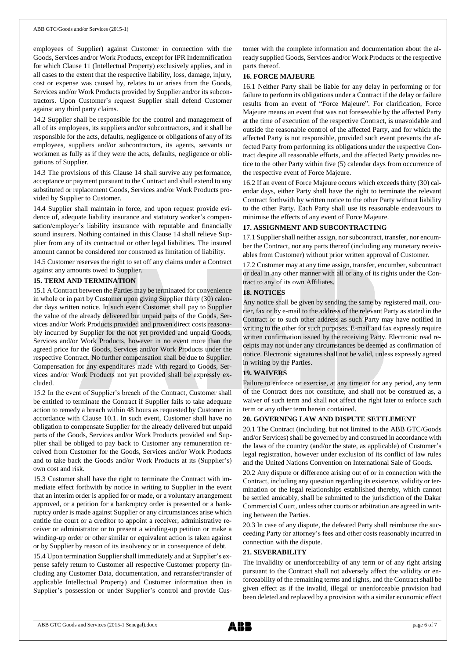employees of Supplier) against Customer in connection with the Goods, Services and/or Work Products, except for IPR Indemnification for which Clause 11 (Intellectual Property) exclusively applies, and in all cases to the extent that the respective liability, loss, damage, injury, cost or expense was caused by, relates to or arises from the Goods, Services and/or Work Products provided by Supplier and/or its subcontractors. Upon Customer's request Supplier shall defend Customer against any third party claims.

14.2 Supplier shall be responsible for the control and management of all of its employees, its suppliers and/or subcontractors, and it shall be responsible for the acts, defaults, negligence or obligations of any of its employees, suppliers and/or subcontractors, its agents, servants or workmen as fully as if they were the acts, defaults, negligence or obligations of Supplier.

14.3 The provisions of this Clause 14 shall survive any performance, acceptance or payment pursuant to the Contract and shall extend to any substituted or replacement Goods, Services and/or Work Products provided by Supplier to Customer.

14.4 Supplier shall maintain in force, and upon request provide evidence of, adequate liability insurance and statutory worker's compensation/employer's liability insurance with reputable and financially sound insurers. Nothing contained in this Clause 14 shall relieve Supplier from any of its contractual or other legal liabilities. The insured amount cannot be considered nor construed as limitation of liability.

14.5 Customer reserves the right to set off any claims under a Contract against any amounts owed to Supplier.

## **15. TERM AND TERMINATION**

15.1 A Contract between the Parties may be terminated for convenience in whole or in part by Customer upon giving Supplier thirty (30) calendar days written notice. In such event Customer shall pay to Supplier the value of the already delivered but unpaid parts of the Goods, Services and/or Work Products provided and proven direct costs reasonably incurred by Supplier for the not yet provided and unpaid Goods, Services and/or Work Products, however in no event more than the agreed price for the Goods, Services and/or Work Products under the respective Contract. No further compensation shall be due to Supplier. Compensation for any expenditures made with regard to Goods, Services and/or Work Products not yet provided shall be expressly excluded.

15.2 In the event of Supplier's breach of the Contract, Customer shall be entitled to terminate the Contract if Supplier fails to take adequate action to remedy a breach within 48 hours as requested by Customer in accordance with Clause 10.1. In such event, Customer shall have no obligation to compensate Supplier for the already delivered but unpaid parts of the Goods, Services and/or Work Products provided and Supplier shall be obliged to pay back to Customer any remuneration received from Customer for the Goods, Services and/or Work Products and to take back the Goods and/or Work Products at its (Supplier's) own cost and risk.

15.3 Customer shall have the right to terminate the Contract with immediate effect forthwith by notice in writing to Supplier in the event that an interim order is applied for or made, or a voluntary arrangement approved, or a petition for a bankruptcy order is presented or a bankruptcy order is made against Supplier or any circumstances arise which entitle the court or a creditor to appoint a receiver, administrative receiver or administrator or to present a winding-up petition or make a winding-up order or other similar or equivalent action is taken against or by Supplier by reason of its insolvency or in consequence of debt.

15.4 Upon termination Supplier shall immediately and at Supplier's expense safely return to Customer all respective Customer property (including any Customer Data, documentation, and retransfer/transfer of applicable Intellectual Property) and Customer information then in Supplier's possession or under Supplier's control and provide Customer with the complete information and documentation about the already supplied Goods, Services and/or Work Products or the respective parts thereof.

## **16. FORCE MAJEURE**

16.1 Neither Party shall be liable for any delay in performing or for failure to perform its obligations under a Contract if the delay or failure results from an event of "Force Majeure". For clarification, Force Majeure means an event that was not foreseeable by the affected Party at the time of execution of the respective Contract, is unavoidable and outside the reasonable control of the affected Party, and for which the affected Party is not responsible, provided such event prevents the affected Party from performing its obligations under the respective Contract despite all reasonable efforts, and the affected Party provides notice to the other Party within five (5) calendar days from occurrence of the respective event of Force Majeure.

16.2 If an event of Force Majeure occurs which exceeds thirty (30) calendar days, either Party shall have the right to terminate the relevant Contract forthwith by written notice to the other Party without liability to the other Party. Each Party shall use its reasonable endeavours to minimise the effects of any event of Force Majeure.

## **17. ASSIGNMENT AND SUBCONTRACTING**

17.1 Supplier shall neither assign, nor subcontract, transfer, nor encumber the Contract, nor any parts thereof (including any monetary receivables from Customer) without prior written approval of Customer.

17.2 Customer may at any time assign, transfer, encumber, subcontract or deal in any other manner with all or any of its rights under the Contract to any of its own Affiliates.

## **18. NOTICES**

Any notice shall be given by sending the same by registered mail, courier, fax or by e-mail to the address of the relevant Party as stated in the Contract or to such other address as such Party may have notified in writing to the other for such purposes. E-mail and fax expressly require written confirmation issued by the receiving Party. Electronic read receipts may not under any circumstances be deemed as confirmation of notice. Electronic signatures shall not be valid, unless expressly agreed in writing by the Parties.

## **19. WAIVERS**

Failure to enforce or exercise, at any time or for any period, any term of the Contract does not constitute, and shall not be construed as, a waiver of such term and shall not affect the right later to enforce such term or any other term herein contained.

## **20. GOVERNING LAW AND DISPUTE SETTLEMENT**

20.1 The Contract (including, but not limited to the ABB GTC/Goods and/or Services) shall be governed by and construed in accordance with the laws of the country (and/or the state, as applicable) of Customer's legal registration, however under exclusion of its conflict of law rules and the United Nations Convention on International Sale of Goods.

20.2 Any dispute or difference arising out of or in connection with the Contract, including any question regarding its existence, validity or termination or the legal relationships established thereby, which cannot be settled amicably, shall be submitted to the jurisdiction of the Dakar Commercial Court, unless other courts or arbitration are agreed in writing between the Parties.

20.3 In case of any dispute, the defeated Party shall reimburse the succeeding Party for attorney's fees and other costs reasonably incurred in connection with the dispute.

## **21. SEVERABILITY**

The invalidity or unenforceability of any term or of any right arising pursuant to the Contract shall not adversely affect the validity or enforceability of the remaining terms and rights, and the Contract shall be given effect as if the invalid, illegal or unenforceable provision had been deleted and replaced by a provision with a similar economic effect